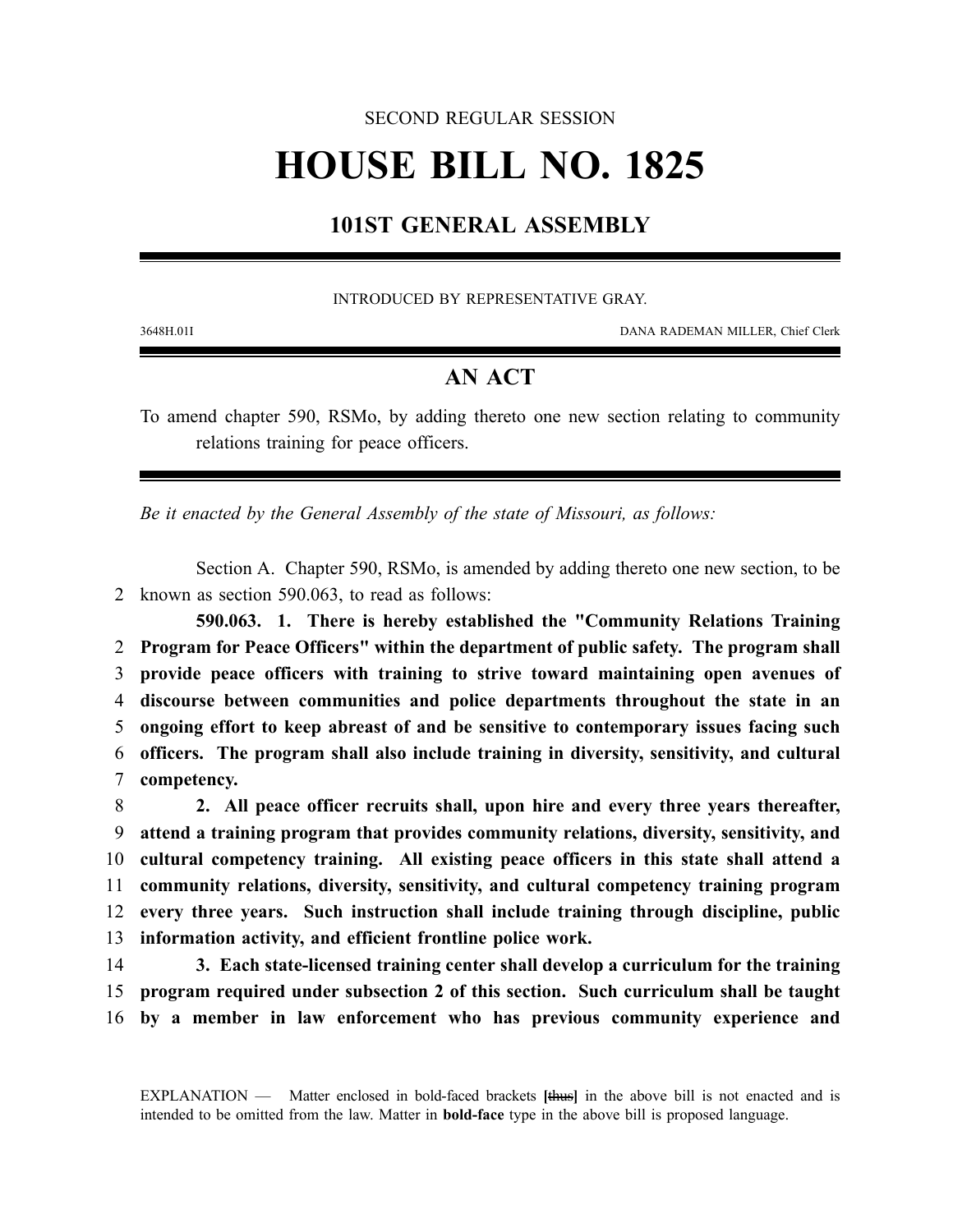## SECOND REGULAR SESSION

# **HOUSE BILL NO. 1825**

# **101ST GENERAL ASSEMBLY**

#### INTRODUCED BY REPRESENTATIVE GRAY.

3648H.01I DANA RADEMAN MILLER, Chief Clerk

## **AN ACT**

To amend chapter 590, RSMo, by adding thereto one new section relating to community relations training for peace officers.

*Be it enacted by the General Assembly of the state of Missouri, as follows:*

Section A. Chapter 590, RSMo, is amended by adding thereto one new section, to be 2 known as section 590.063, to read as follows:

**590.063. 1. There is hereby established the "Community Relations Training Program for Peace Officers" within the department of public safety. The program shall provide peace officers with training to strive toward maintaining open avenues of discourse between communities and police departments throughout the state in an ongoing effort to keep abreast of and be sensitive to contemporary issues facing such officers. The program shall also include training in diversity, sensitivity, and cultural competency.**

 **2. All peace officer recruits shall, upon hire and every three years thereafter, attend a training program that provides community relations, diversity, sensitivity, and cultural competency training. All existing peace officers in this state shall attend a community relations, diversity, sensitivity, and cultural competency training program every three years. Such instruction shall include training through discipline, public information activity, and efficient frontline police work.**

14 **3. Each state-licensed training center shall develop a curriculum for the training** 15 **program required under subsection 2 of this section. Such curriculum shall be taught** 16 **by a member in law enforcement who has previous community experience and**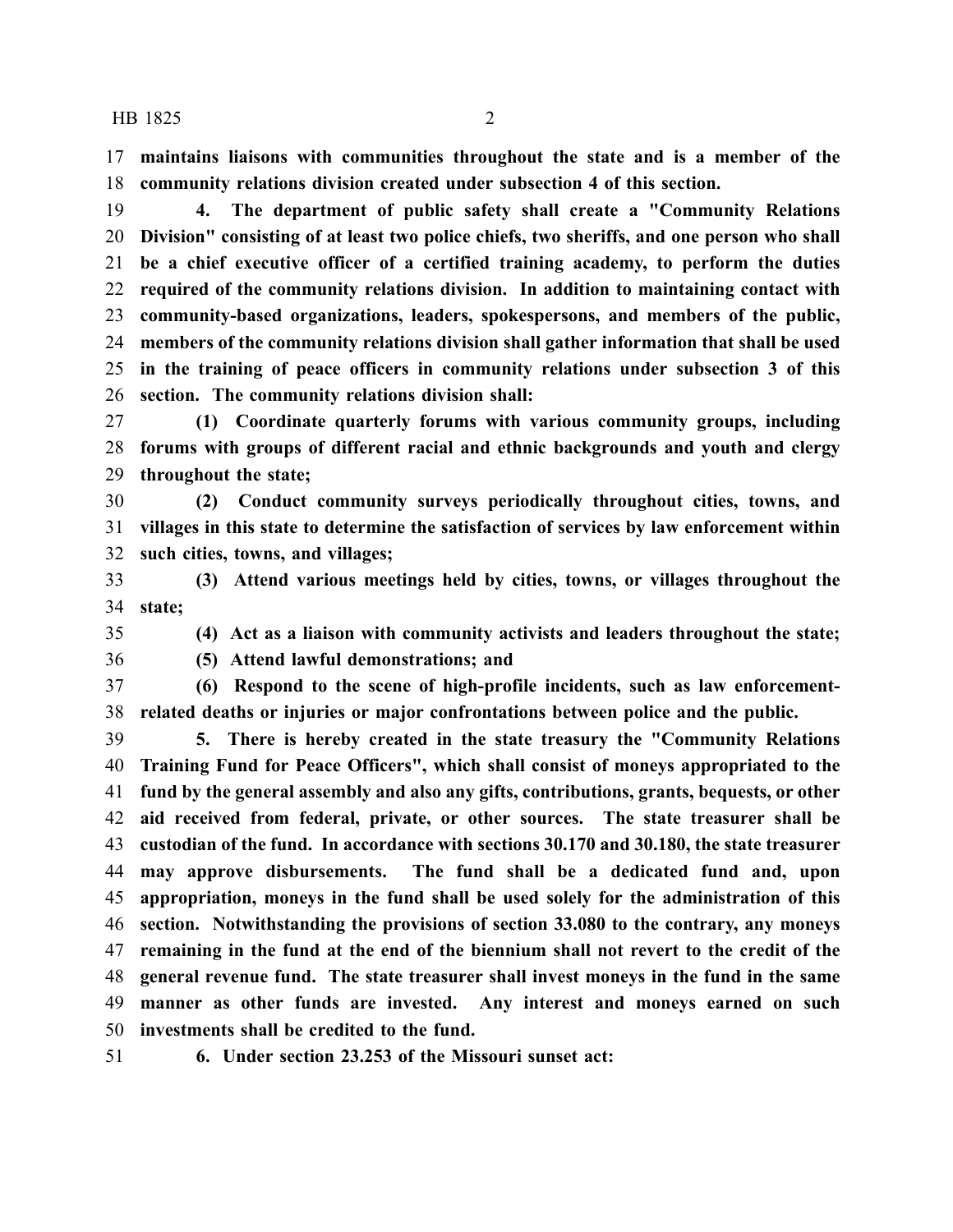HB 1825 2

 **maintains liaisons with communities throughout the state and is a member of the community relations division created under subsection 4 of this section.**

 **4. The department of public safety shall create a "Community Relations Division" consisting of at least two police chiefs, two sheriffs, and one person who shall be a chief executive officer of a certified training academy, to perform the duties required of the community relations division. In addition to maintaining contact with community-based organizations, leaders, spokespersons, and members of the public, members of the community relations division shall gather information that shall be used in the training of peace officers in community relations under subsection 3 of this section. The community relations division shall:**

 **(1) Coordinate quarterly forums with various community groups, including forums with groups of different racial and ethnic backgrounds and youth and clergy throughout the state;**

 **(2) Conduct community surveys periodically throughout cities, towns, and villages in this state to determine the satisfaction of services by law enforcement within such cities, towns, and villages;**

 **(3) Attend various meetings held by cities, towns, or villages throughout the state;**

**(4) Act as a liaison with community activists and leaders throughout the state;**

**(5) Attend lawful demonstrations; and**

 **(6) Respond to the scene of high-profile incidents, such as law enforcement-related deaths or injuries or major confrontations between police and the public.**

 **5. There is hereby created in the state treasury the "Community Relations Training Fund for Peace Officers", which shall consist of moneys appropriated to the fund by the general assembly and also any gifts, contributions, grants, bequests, or other aid received from federal, private, or other sources. The state treasurer shall be custodian of the fund. In accordance with sections 30.170 and 30.180, the state treasurer may approve disbursements. The fund shall be a dedicated fund and, upon appropriation, moneys in the fund shall be used solely for the administration of this section. Notwithstanding the provisions of section 33.080 to the contrary, any moneys remaining in the fund at the end of the biennium shall not revert to the credit of the general revenue fund. The state treasurer shall invest moneys in the fund in the same manner as other funds are invested. Any interest and moneys earned on such investments shall be credited to the fund.**

**6. Under section 23.253 of the Missouri sunset act:**